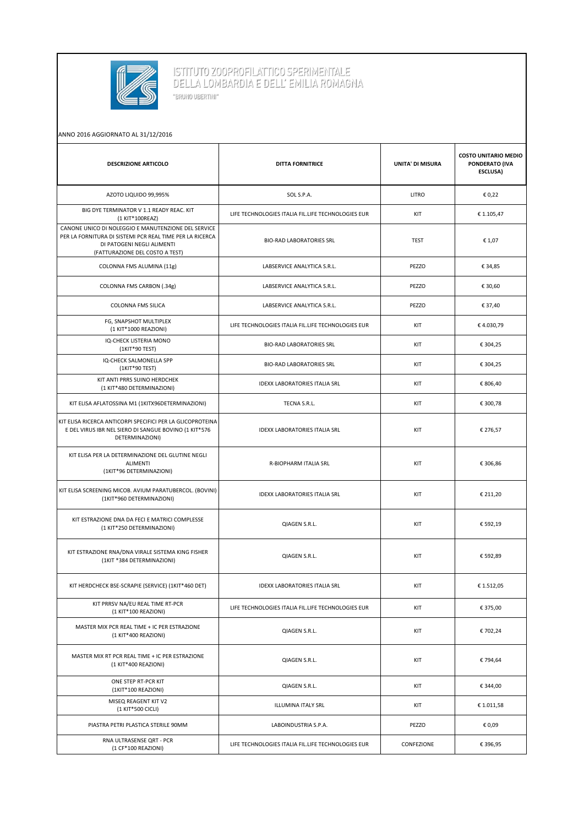

ISTITUTO ZOOPROFILATTICO SPERIMENTALE<br>DELLA LOMBARDIA E DELL' EMILIA ROMAGNA "BRUNO UBERTINI"

## ANNO 2016 AGGIORNATO AL 31/12/2016

| <b>DESCRIZIONE ARTICOLO</b>                                                                                                                                                      | <b>DITTA FORNITRICE</b>                            | <b>UNITA' DI MISURA</b> | <b>COSTO UNITARIO MEDIO</b><br>PONDERATO (IVA<br>ESCLUSA) |
|----------------------------------------------------------------------------------------------------------------------------------------------------------------------------------|----------------------------------------------------|-------------------------|-----------------------------------------------------------|
| AZOTO LIQUIDO 99,995%                                                                                                                                                            | SOL S.P.A.                                         | LITRO                   | € 0,22                                                    |
| BIG DYE TERMINATOR V 1.1 READY REAC. KIT<br>(1 KIT*100REAZ)                                                                                                                      | LIFE TECHNOLOGIES ITALIA FIL.LIFE TECHNOLOGIES EUR | KIT                     | € 1.105,47                                                |
| CANONE UNICO DI NOLEGGIO E MANUTENZIONE DEL SERVICE<br>PER LA FORNITURA DI SISTEMI PCR REAL TIME PER LA RICERCA<br>DI PATOGENI NEGLI ALIMENTI<br>(FATTURAZIONE DEL COSTO A TEST) | <b>BIO-RAD LABORATORIES SRL</b>                    | <b>TEST</b>             | € 1,07                                                    |
| COLONNA FMS ALUMINA (11g)                                                                                                                                                        | LABSERVICE ANALYTICA S.R.L.                        | PEZZO                   | € 34,85                                                   |
| COLONNA FMS CARBON (.34g)                                                                                                                                                        | LABSERVICE ANALYTICA S.R.L.                        | PEZZO                   | € 30,60                                                   |
| <b>COLONNA FMS SILICA</b>                                                                                                                                                        | LABSERVICE ANALYTICA S.R.L.                        | PEZZO                   | € 37,40                                                   |
| FG, SNAPSHOT MULTIPLEX<br>(1 KIT*1000 REAZIONI)                                                                                                                                  | LIFE TECHNOLOGIES ITALIA FIL.LIFE TECHNOLOGIES EUR | KIT                     | €4.030,79                                                 |
| IQ-CHECK LISTERIA MONO<br>(1KIT*90 TEST)                                                                                                                                         | <b>BIO-RAD LABORATORIES SRL</b>                    | KIT                     | € 304,25                                                  |
| IQ-CHECK SALMONELLA SPP<br>(1KIT*90 TEST)                                                                                                                                        | <b>BIO-RAD LABORATORIES SRL</b>                    | KIT                     | € 304,25                                                  |
| KIT ANTI PRRS SUINO HERDCHEK<br>(1 KIT*480 DETERMINAZIONI)                                                                                                                       | <b>IDEXX LABORATORIES ITALIA SRL</b>               | KIT                     | € 806,40                                                  |
| KIT ELISA AFLATOSSINA M1 (1KITX96DETERMINAZIONI)                                                                                                                                 | TECNA S.R.L.                                       | KIT                     | € 300,78                                                  |
| KIT ELISA RICERCA ANTICORPI SPECIFICI PER LA GLICOPROTEINA<br>E DEL VIRUS IBR NEL SIERO DI SANGUE BOVINO (1 KIT*576<br>DETERMINAZIONI)                                           | <b>IDEXX LABORATORIES ITALIA SRL</b>               | KIT                     | € 276,57                                                  |
| KIT ELISA PER LA DETERMINAZIONE DEL GLUTINE NEGLI<br><b>ALIMENTI</b><br>(1KIT*96 DETERMINAZIONI)                                                                                 | R-BIOPHARM ITALIA SRL                              | KIT                     | € 306,86                                                  |
| KIT ELISA SCREENING MICOB. AVIUM PARATUBERCOL. (BOVINI)<br>(1KIT*960 DETERMINAZIONI)                                                                                             | <b>IDEXX LABORATORIES ITALIA SRL</b>               | KIT                     | € 211,20                                                  |
| KIT ESTRAZIONE DNA DA FECI E MATRICI COMPLESSE<br>(1 KIT*250 DETERMINAZIONI)                                                                                                     | QIAGEN S.R.L.                                      | KIT                     | € 592,19                                                  |
| KIT ESTRAZIONE RNA/DNA VIRALE SISTEMA KING FISHER<br>(1KIT *384 DETERMINAZIONI)                                                                                                  | QIAGEN S.R.L.                                      | KIT                     | € 592,89                                                  |
| KIT HERDCHECK BSE-SCRAPIE (SERVICE) (1KIT*460 DET)                                                                                                                               | <b>IDEXX LABORATORIES ITALIA SRL</b>               | KIT                     | € 1.512,05                                                |
| KIT PRRSV NA/EU REAL TIME RT-PCR<br>(1 KIT*100 REAZIONI)                                                                                                                         | LIFE TECHNOLOGIES ITALIA FIL.LIFE TECHNOLOGIES EUR | KIT                     | € 375,00                                                  |
| MASTER MIX PCR REAL TIME + IC PER ESTRAZIONE<br>(1 KIT*400 REAZIONI)                                                                                                             | QIAGEN S.R.L.                                      | KIT                     | € 702,24                                                  |
| MASTER MIX RT PCR REAL TIME + IC PER ESTRAZIONE<br>(1 KIT*400 REAZIONI)                                                                                                          | QIAGEN S.R.L.                                      | KIT                     | € 794,64                                                  |
| ONE STEP RT-PCR KIT<br>(1KIT*100 REAZIONI)                                                                                                                                       | QIAGEN S.R.L.                                      | KIT                     | € 344,00                                                  |
| MISEQ REAGENT KIT V2<br>(1 KIT*500 CICLI)                                                                                                                                        | ILLUMINA ITALY SRL                                 | KIT                     | €1.011,58                                                 |
| PIASTRA PETRI PLASTICA STERILE 90MM                                                                                                                                              | LABOINDUSTRIA S.P.A.                               | PEZZO                   | € 0,09                                                    |
| RNA ULTRASENSE QRT - PCR<br>(1 CF*100 REAZIONI)                                                                                                                                  | LIFE TECHNOLOGIES ITALIA FIL.LIFE TECHNOLOGIES EUR | CONFEZIONE              | € 396,95                                                  |